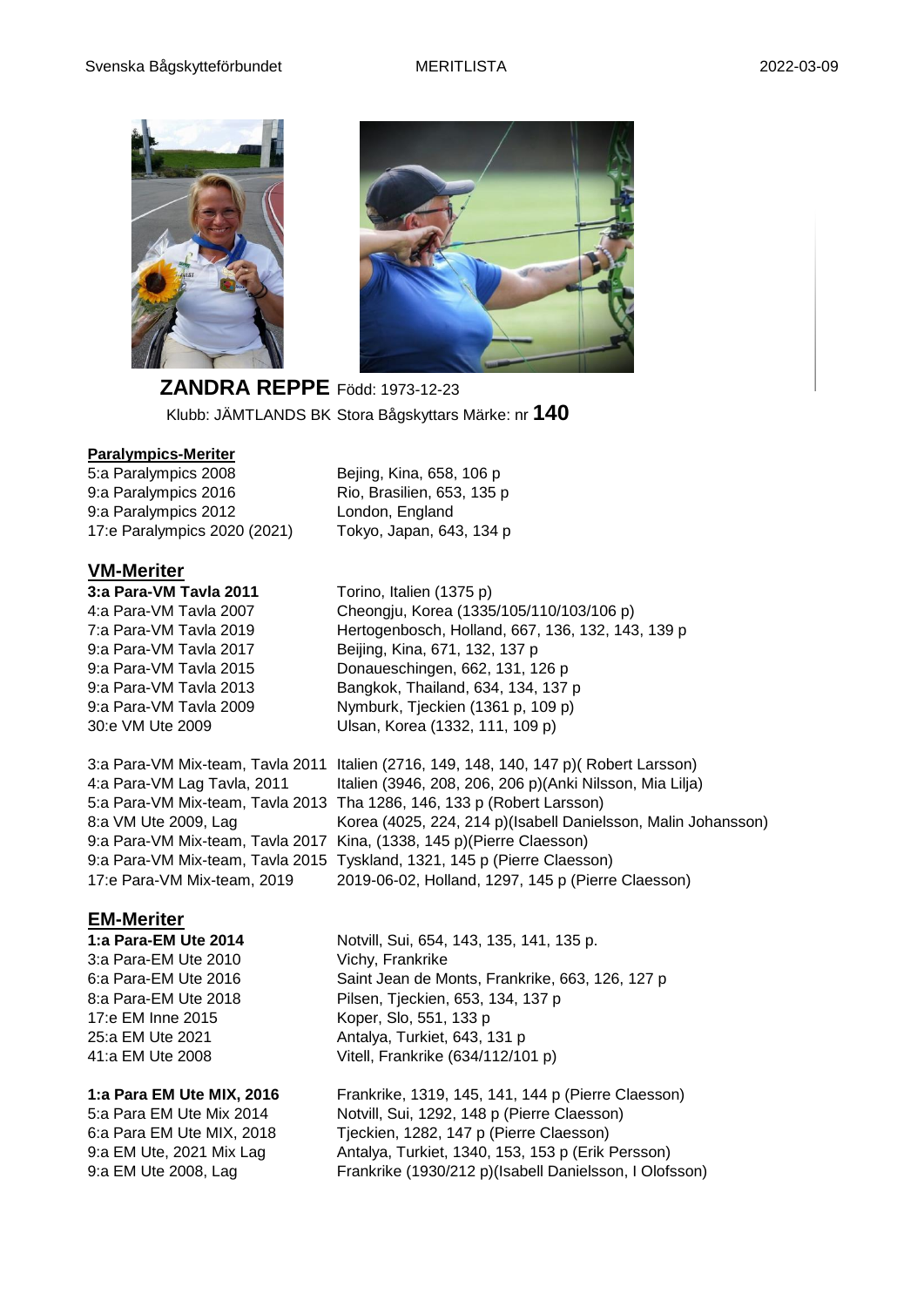



**ZANDRA REPPE** Född: 1973-12-23 Klubb: JÄMTLANDS BK Stora Bågskyttars Märke: nr **140**

#### **Paralympics-Meriter**

5:a Paralympics 2008 Bejing, Kina, 658, 106 p 9:a Paralympics 2016 Rio, Brasilien, 653, 135 p 9:a Paralympics 2012 London, England 17:e Paralympics 2020 (2021) Tokyo, Japan, 643, 134 p

### **VM-Meriter**

30:e VM Ute 2009 Ulsan, Korea (1332, 111, 109 p)

**3:a Para-VM Tavla 2011** Torino, Italien (1375 p) 4:a Para-VM Tavla 2007 Cheongju, Korea (1335/105/110/103/106 p) 7:a Para-VM Tavla 2019 Hertogenbosch, Holland, 667, 136, 132, 143, 139 p 9:a Para-VM Tavla 2017 Beijing, Kina, 671, 132, 137 p 9:a Para-VM Tavla 2015 Donaueschingen, 662, 131, 126 p 9:a Para-VM Tavla 2013 Bangkok, Thailand, 634, 134, 137 p 9:a Para-VM Tavla 2009 Nymburk, Tjeckien (1361 p, 109 p)

3:a Para-VM Mix-team, Tavla 2011 Italien (2716, 149, 148, 140, 147 p)( Robert Larsson) 4:a Para-VM Lag Tavla, 2011 Italien (3946, 208, 206, 206 p)(Anki Nilsson, Mia Lilja) 5:a Para-VM Mix-team, Tavla 2013 Tha 1286, 146, 133 p (Robert Larsson) 8:a VM Ute 2009, Lag Korea (4025, 224, 214 p) (Isabell Danielsson, Malin Johansson) 9:a Para-VM Mix-team, Tavla 2017 Kina, (1338, 145 p)(Pierre Claesson) 9:a Para-VM Mix-team, Tavla 2015 Tyskland, 1321, 145 p (Pierre Claesson) 17:e Para-VM Mix-team, 2019 2019-06-02, Holland, 1297, 145 p (Pierre Claesson)

## **EM-Meriter**

3:a Para-EM Ute 2010 Vichy, Frankrike 17:e EM Inne 2015 Koper, Slo, 551, 133 p

**1:a Para-EM Ute 2014** Notvill, Sui, 654, 143, 135, 141, 135 p. 6:a Para-EM Ute 2016 Saint Jean de Monts, Frankrike, 663, 126, 127 p 8:a Para-EM Ute 2018 Pilsen, Tjeckien, 653, 134, 137 p 25:a EM Ute 2021 Antalya, Turkiet, 643, 131 p 41:a EM Ute 2008 Vitell, Frankrike (634/112/101 p)

**1:a Para EM Ute MIX, 2016** Frankrike, 1319, 145, 141, 144 p (Pierre Claesson) 5:a Para EM Ute Mix 2014 Notvill, Sui, 1292, 148 p (Pierre Claesson) 6:a Para EM Ute MIX, 2018 Tjeckien, 1282, 147 p (Pierre Claesson) 9:a EM Ute, 2021 Mix Lag Antalya, Turkiet, 1340, 153, 153 p (Erik Persson) 9:a EM Ute 2008, Lag Frankrike (1930/212 p)(Isabell Danielsson, I Olofsson)